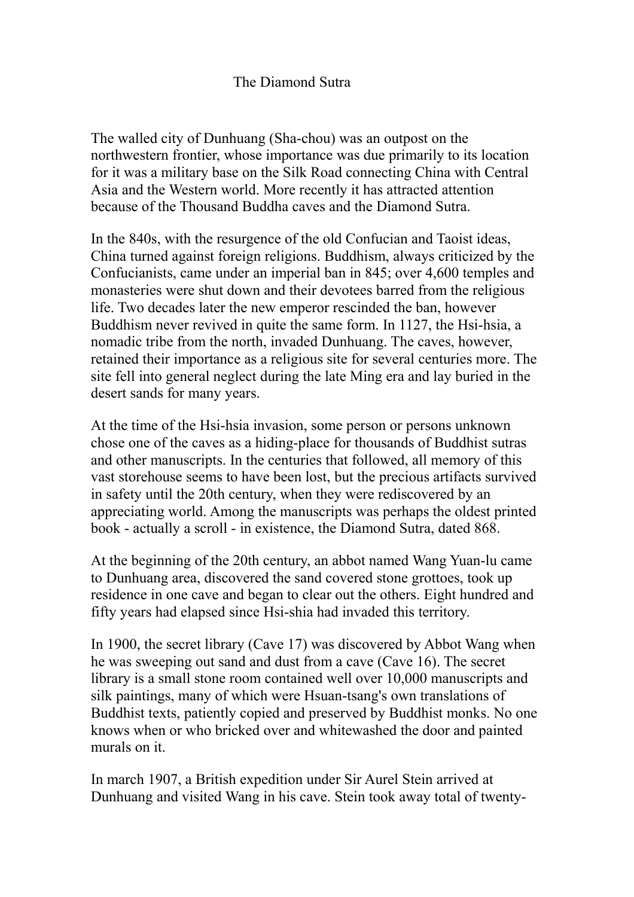# The Diamond Sutra

The walled city of Dunhuang (Sha-chou) was an outpost on the northwestern frontier, whose importance was due primarily to its location for it was a military base on the Silk Road connecting China with Central Asia and the Western world. More recently it has attracted attention because of the Thousand Buddha caves and the Diamond Sutra.

In the 840s, with the resurgence of the old Confucian and Taoist ideas, China turned against foreign religions. Buddhism, always criticized by the Confucianists, came under an imperial ban in 845; over 4,600 temples and monasteries were shut down and their devotees barred from the religious life. Two decades later the new emperor rescinded the ban, however Buddhism never revived in quite the same form. In 1127, the Hsi-hsia, a nomadic tribe from the north, invaded Dunhuang. The caves, however, retained their importance as a religious site for several centuries more. The site fell into general neglect during the late Ming era and lay buried in the desert sands for many years.

At the time of the Hsi-hsia invasion, some person or persons unknown chose one of the caves as a hiding-place for thousands of Buddhist sutras and other manuscripts. In the centuries that followed, all memory of this vast storehouse seems to have been lost, but the precious artifacts survived in safety until the 20th century, when they were rediscovered by an appreciating world. Among the manuscripts was perhaps the oldest printed book - actually a scroll - in existence, the Diamond Sutra, dated 868.

At the beginning of the 20th century, an abbot named Wang Yuan-lu came to Dunhuang area, discovered the sand covered stone grottoes, took up residence in one cave and began to clear out the others. Eight hundred and fifty years had elapsed since Hsi-shia had invaded this territory.

In 1900, the secret library (Cave 17) was discovered by Abbot Wang when he was sweeping out sand and dust from a cave (Cave 16). The secret library is a small stone room contained well over 10,000 manuscripts and silk paintings, many of which were Hsuan-tsang's own translations of Buddhist texts, patiently copied and preserved by Buddhist monks. No one knows when or who bricked over and whitewashed the door and painted murals on it.

In march 1907, a British expedition under Sir Aurel Stein arrived at Dunhuang and visited Wang in his cave. Stein took away total of twenty-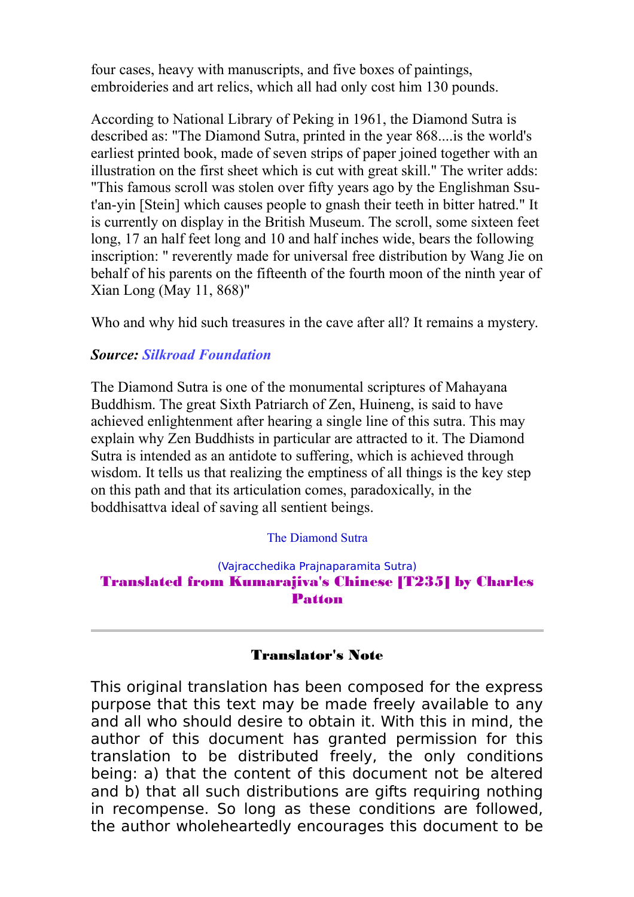four cases, heavy with manuscripts, and five boxes of paintings, embroideries and art relics, which all had only cost him 130 pounds.

According to National Library of Peking in 1961, the Diamond Sutra is described as: "The Diamond Sutra, printed in the year 868....is the world's earliest printed book, made of seven strips of paper joined together with an illustration on the first sheet which is cut with great skill." The writer adds: "This famous scroll was stolen over fifty years ago by the Englishman Ssut'an-yin [Stein] which causes people to gnash their teeth in bitter hatred." It is currently on display in the British Museum. The scroll, some sixteen feet long, 17 an half feet long and 10 and half inches wide, bears the following inscription: " reverently made for universal free distribution by Wang Jie on behalf of his parents on the fifteenth of the fourth moon of the ninth year of Xian Long (May 11, 868)"

Who and why hid such treasures in the cave after all? It remains a mystery.

# *Source: [Silkroad Foundation](https://www.silk-road.com/artl/diamondsutra.shtml)*

The Diamond Sutra is one of the monumental scriptures of Mahayana Buddhism. The great Sixth Patriarch of Zen, Huineng, is said to have achieved enlightenment after hearing a single line of this sutra. This may explain why Zen Buddhists in particular are attracted to it. The Diamond Sutra is intended as an antidote to suffering, which is achieved through wisdom. It tells us that realizing the emptiness of all things is the key step on this path and that its articulation comes, paradoxically, in the boddhisattva ideal of saving all sentient beings.

## The Diamond Sutra

## (Vajracchedika Prajnaparamita Sutra) Translated from Kumarajiva's Chinese [T235] by Charles Patton

# Translator's Note

This original translation has been composed for the express purpose that this text may be made freely available to any and all who should desire to obtain it. With this in mind, the author of this document has granted permission for this translation to be distributed freely, the only conditions being: a) that the content of this document not be altered and b) that all such distributions are gifts requiring nothing in recompense. So long as these conditions are followed, the author wholeheartedly encourages this document to be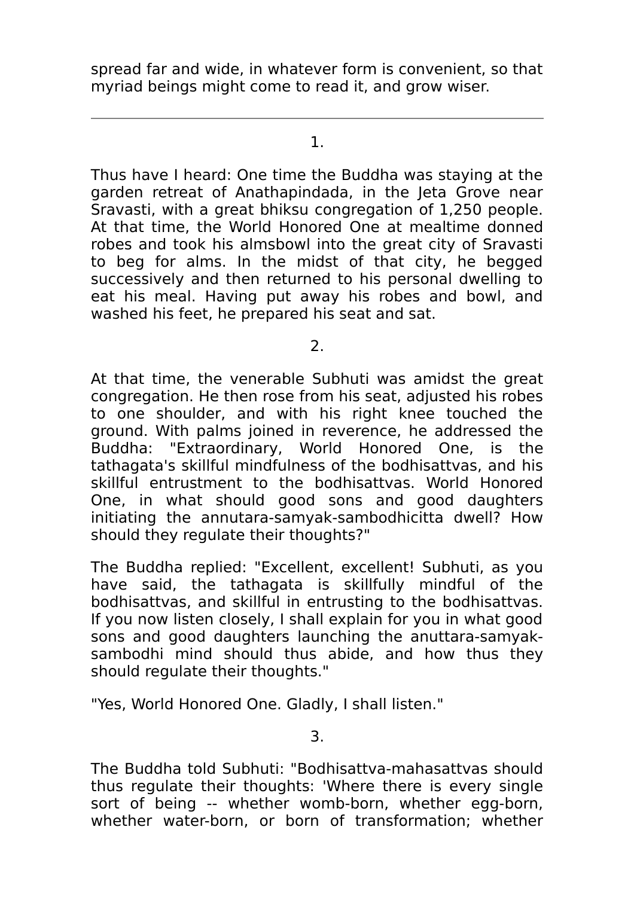spread far and wide, in whatever form is convenient, so that myriad beings might come to read it, and grow wiser.

1.

Thus have I heard: One time the Buddha was staying at the garden retreat of Anathapindada, in the Jeta Grove near Sravasti, with a great bhiksu congregation of 1,250 people. At that time, the World Honored One at mealtime donned robes and took his almsbowl into the great city of Sravasti to beg for alms. In the midst of that city, he begged successively and then returned to his personal dwelling to eat his meal. Having put away his robes and bowl, and washed his feet, he prepared his seat and sat.

2.

At that time, the venerable Subhuti was amidst the great congregation. He then rose from his seat, adjusted his robes to one shoulder, and with his right knee touched the ground. With palms joined in reverence, he addressed the Buddha: "Extraordinary, World Honored One, is the tathagata's skillful mindfulness of the bodhisattvas, and his skillful entrustment to the bodhisattvas. World Honored One, in what should good sons and good daughters initiating the annutara-samyak-sambodhicitta dwell? How should they regulate their thoughts?"

The Buddha replied: "Excellent, excellent! Subhuti, as you have said, the tathagata is skillfully mindful of the bodhisattvas, and skillful in entrusting to the bodhisattvas. If you now listen closely, I shall explain for you in what good sons and good daughters launching the anuttara-samyaksambodhi mind should thus abide, and how thus they should regulate their thoughts."

"Yes, World Honored One. Gladly, I shall listen."

3.

The Buddha told Subhuti: "Bodhisattva-mahasattvas should thus regulate their thoughts: 'Where there is every single sort of being -- whether womb-born, whether egg-born, whether water-born, or born of transformation; whether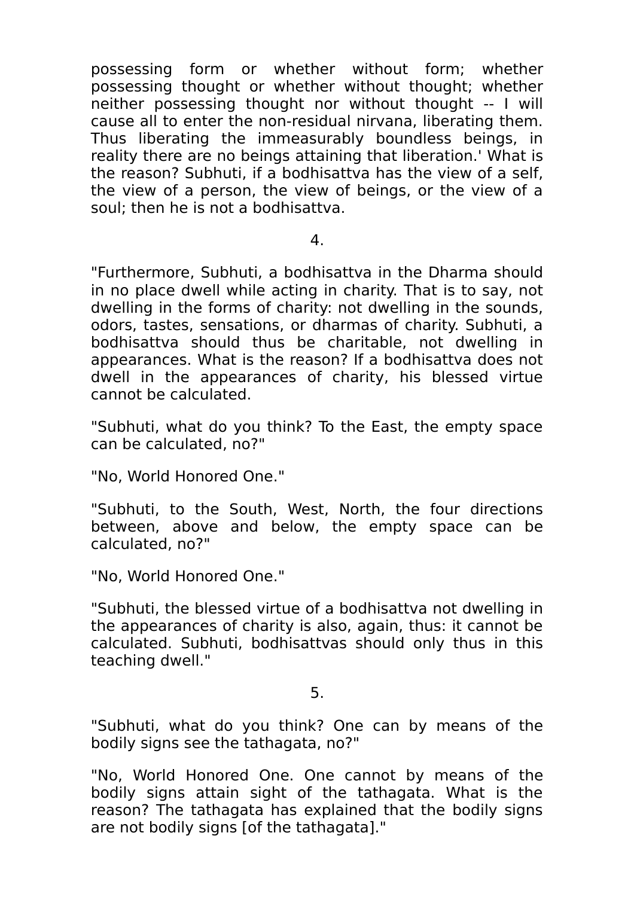possessing form or whether without form; whether possessing thought or whether without thought; whether neither possessing thought nor without thought -- I will cause all to enter the non-residual nirvana, liberating them. Thus liberating the immeasurably boundless beings, in reality there are no beings attaining that liberation.' What is the reason? Subhuti, if a bodhisattva has the view of a self, the view of a person, the view of beings, or the view of a soul; then he is not a bodhisattva.

## 4.

"Furthermore, Subhuti, a bodhisattva in the Dharma should in no place dwell while acting in charity. That is to say, not dwelling in the forms of charity: not dwelling in the sounds, odors, tastes, sensations, or dharmas of charity. Subhuti, a bodhisattva should thus be charitable, not dwelling in appearances. What is the reason? If a bodhisattva does not dwell in the appearances of charity, his blessed virtue cannot be calculated.

"Subhuti, what do you think? To the East, the empty space can be calculated, no?"

"No, World Honored One."

"Subhuti, to the South, West, North, the four directions between, above and below, the empty space can be calculated, no?"

"No, World Honored One."

"Subhuti, the blessed virtue of a bodhisattva not dwelling in the appearances of charity is also, again, thus: it cannot be calculated. Subhuti, bodhisattvas should only thus in this teaching dwell."

5.

"Subhuti, what do you think? One can by means of the bodily signs see the tathagata, no?"

"No, World Honored One. One cannot by means of the bodily signs attain sight of the tathagata. What is the reason? The tathagata has explained that the bodily signs are not bodily signs [of the tathagata]."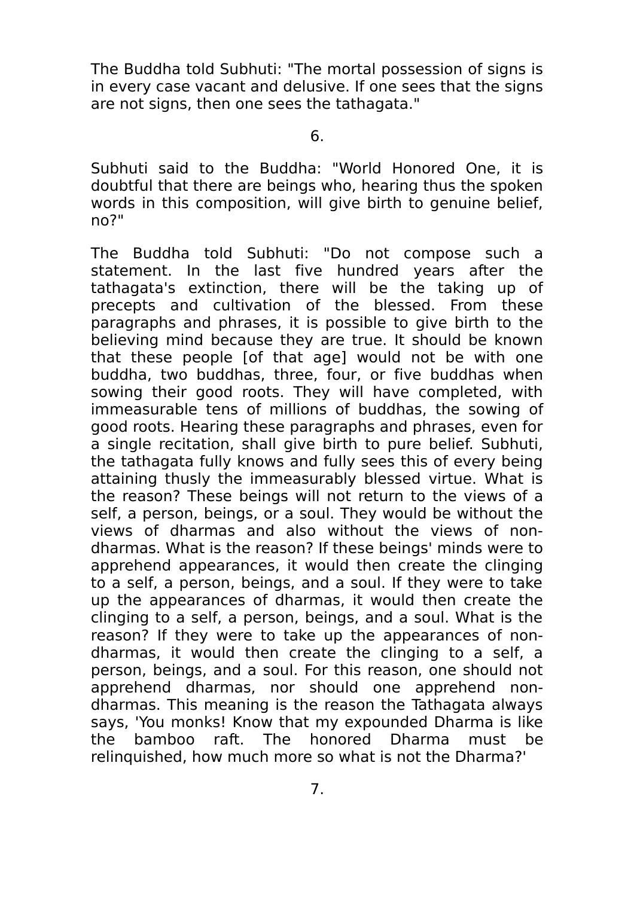The Buddha told Subhuti: "The mortal possession of signs is in every case vacant and delusive. If one sees that the signs are not signs, then one sees the tathagata."

6.

Subhuti said to the Buddha: "World Honored One, it is doubtful that there are beings who, hearing thus the spoken words in this composition, will give birth to genuine belief, no?"

The Buddha told Subhuti: "Do not compose such a statement. In the last five hundred years after the tathagata's extinction, there will be the taking up of precepts and cultivation of the blessed. From these paragraphs and phrases, it is possible to give birth to the believing mind because they are true. It should be known that these people [of that age] would not be with one buddha, two buddhas, three, four, or five buddhas when sowing their good roots. They will have completed, with immeasurable tens of millions of buddhas, the sowing of good roots. Hearing these paragraphs and phrases, even for a single recitation, shall give birth to pure belief. Subhuti, the tathagata fully knows and fully sees this of every being attaining thusly the immeasurably blessed virtue. What is the reason? These beings will not return to the views of a self, a person, beings, or a soul. They would be without the views of dharmas and also without the views of nondharmas. What is the reason? If these beings' minds were to apprehend appearances, it would then create the clinging to a self, a person, beings, and a soul. If they were to take up the appearances of dharmas, it would then create the clinging to a self, a person, beings, and a soul. What is the reason? If they were to take up the appearances of nondharmas, it would then create the clinging to a self, a person, beings, and a soul. For this reason, one should not apprehend dharmas, nor should one apprehend nondharmas. This meaning is the reason the Tathagata always says, 'You monks! Know that my expounded Dharma is like the bamboo raft. The honored Dharma must be relinquished, how much more so what is not the Dharma?'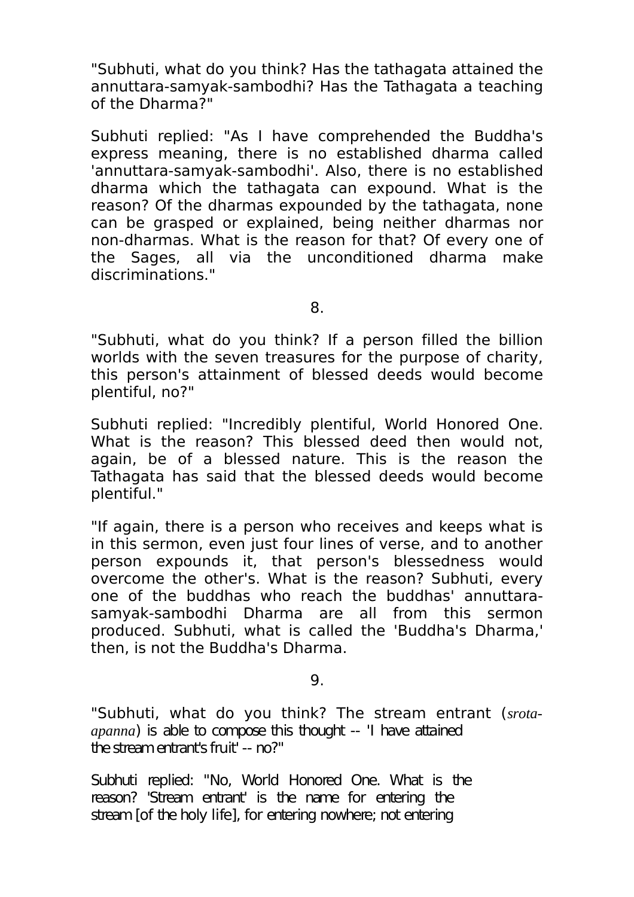"Subhuti, what do you think? Has the tathagata attained the annuttara-samyak-sambodhi? Has the Tathagata a teaching of the Dharma?"

Subhuti replied: "As I have comprehended the Buddha's express meaning, there is no established dharma called 'annuttara-samyak-sambodhi'. Also, there is no established dharma which the tathagata can expound. What is the reason? Of the dharmas expounded by the tathagata, none can be grasped or explained, being neither dharmas nor non-dharmas. What is the reason for that? Of every one of the Sages, all via the unconditioned dharma make discriminations."

8.

"Subhuti, what do you think? If a person filled the billion worlds with the seven treasures for the purpose of charity, this person's attainment of blessed deeds would become plentiful, no?"

Subhuti replied: "Incredibly plentiful, World Honored One. What is the reason? This blessed deed then would not, again, be of a blessed nature. This is the reason the Tathagata has said that the blessed deeds would become plentiful."

"If again, there is a person who receives and keeps what is in this sermon, even just four lines of verse, and to another person expounds it, that person's blessedness would overcome the other's. What is the reason? Subhuti, every one of the buddhas who reach the buddhas' annuttarasamyak-sambodhi Dharma are all from this sermon produced. Subhuti, what is called the 'Buddha's Dharma,' then, is not the Buddha's Dharma.

 $Q_{\perp}$ 

"Subhuti, what do you think? The stream entrant (*srotaapanna*) is able to compose this thought -- 'I have attained the stream entrant's fruit' -- no?"

Subhuti replied: "No, World Honored One. What is the reason? 'Stream entrant' is the name for entering the stream [of the holy life], for entering nowhere; not entering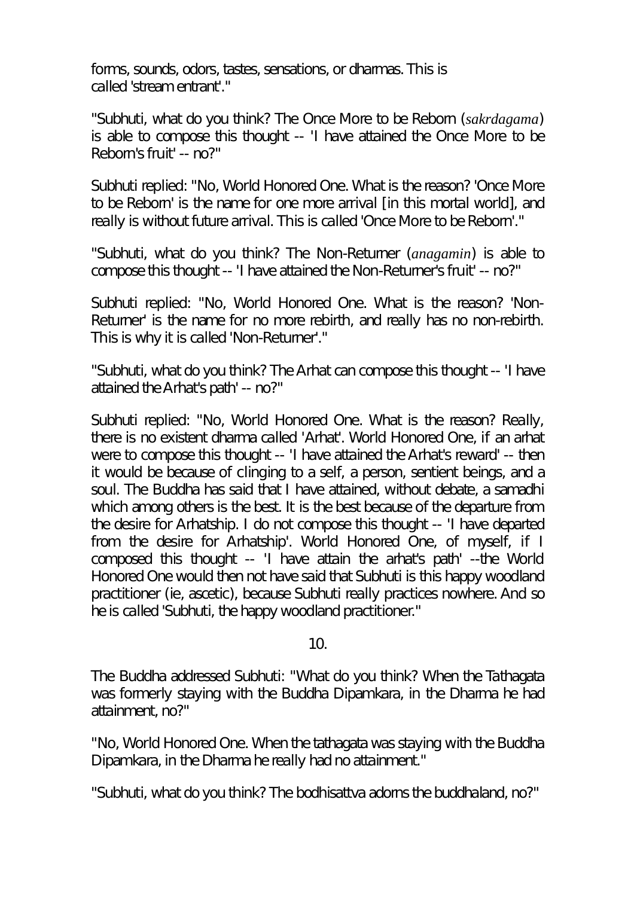forms, sounds, odors, tastes, sensations, or dharmas. This is called 'stream entrant'."

"Subhuti, what do you think? The Once More to be Reborn (*sakrdagama*) is able to compose this thought -- 'I have attained the Once More to be Reborn's fruit' -- no?"

Subhuti replied: "No, World Honored One. What is the reason? 'Once More to be Reborn' is the name for one more arrival [in this mortal world], and really is without future arrival. This is called 'Once More to be Reborn'."

"Subhuti, what do you think? The Non-Returner (*anagamin*) is able to compose this thought -- 'I have attained the Non-Returner's fruit' -- no?"

Subhuti replied: "No, World Honored One. What is the reason? 'Non-Returner' is the name for no more rebirth, and really has no non-rebirth. This is why it is called 'Non-Returner'."

"Subhuti, what do you think? The Arhat can compose this thought -- 'I have attained the Arhat's path' -- no?"

Subhuti replied: "No, World Honored One. What is the reason? Really, there is no existent dharma called 'Arhat'. World Honored One, if an arhat were to compose this thought -- 'I have attained the Arhat's reward' -- then it would be because of clinging to a self, a person, sentient beings, and a soul. The Buddha has said that I have attained, without debate, a samadhi which among others is the best. It is the best because of the departure from the desire for Arhatship. I do not compose this thought -- 'I have departed from the desire for Arhatship'. World Honored One, of myself, if I composed this thought -- 'I have attain the arhat's path' --the World Honored One would then not have said that Subhuti is this happy woodland practitioner (ie, ascetic), because Subhuti really practices nowhere. And so he is called 'Subhuti, the happy woodland practitioner."

# 10.

The Buddha addressed Subhuti: "What do you think? When the Tathagata was formerly staying with the Buddha Dipamkara, in the Dharma he had attainment, no?"

"No, World Honored One. When the tathagata was staying with the Buddha Dipamkara, in the Dharma he really had no attainment."

"Subhuti, what do you think? The bodhisattva adorns the buddhaland, no?"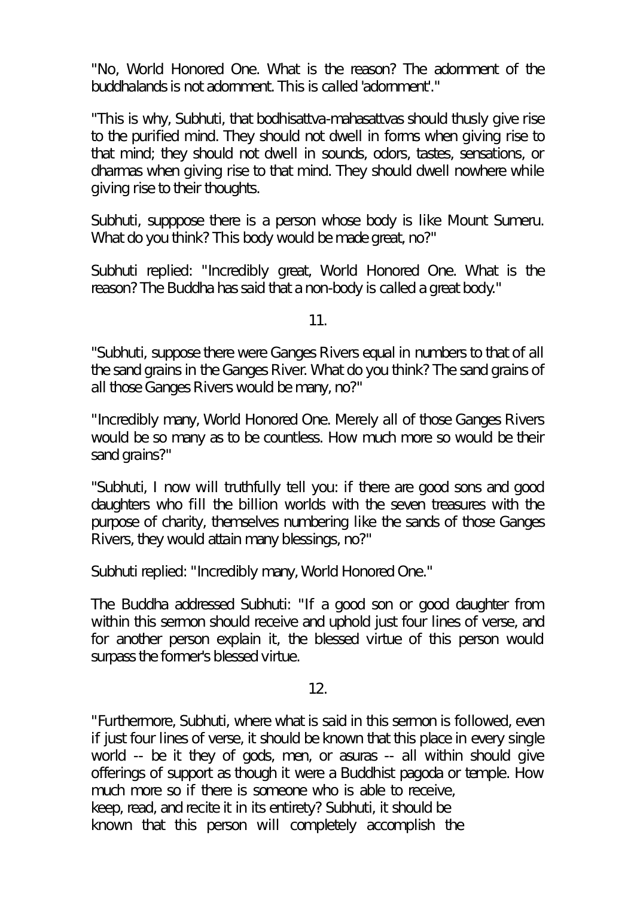"No, World Honored One. What is the reason? The adornment of the buddhalands is not adornment. This is called 'adornment'."

"This is why, Subhuti, that bodhisattva-mahasattvas should thusly give rise to the purified mind. They should not dwell in forms when giving rise to that mind; they should not dwell in sounds, odors, tastes, sensations, or dharmas when giving rise to that mind. They should dwell nowhere while giving rise to their thoughts.

Subhuti, supppose there is a person whose body is like Mount Sumeru. What do you think? This body would be made great, no?"

Subhuti replied: "Incredibly great, World Honored One. What is the reason? The Buddha has said that a non-body is called a great body."

11.

"Subhuti, suppose there were Ganges Rivers equal in numbers to that of all the sand grains in the Ganges River. What do you think? The sand grains of all those Ganges Rivers would be many, no?"

"Incredibly many, World Honored One. Merely all of those Ganges Rivers would be so many as to be countless. How much more so would be their sand grains?"

"Subhuti, I now will truthfully tell you: if there are good sons and good daughters who fill the billion worlds with the seven treasures with the purpose of charity, themselves numbering like the sands of those Ganges Rivers, they would attain many blessings, no?"

Subhuti replied: "Incredibly many, World Honored One."

The Buddha addressed Subhuti: "If a good son or good daughter from within this sermon should receive and uphold just four lines of verse, and for another person explain it, the blessed virtue of this person would surpass the former's blessed virtue.

12.

"Furthermore, Subhuti, where what is said in this sermon is followed, even if just four lines of verse, it should be known that this place in every single world -- be it they of gods, men, or asuras -- all within should give offerings of support as though it were a Buddhist pagoda or temple. How much more so if there is someone who is able to receive, keep, read, and recite it in its entirety? Subhuti, it should be known that this person will completely accomplish the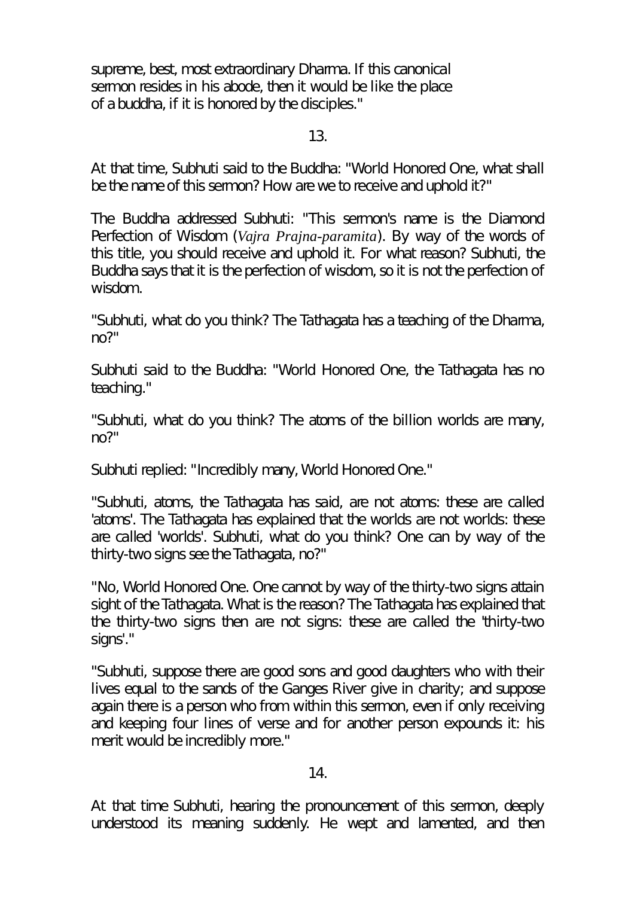supreme, best, most extraordinary Dharma. If this canonical sermon resides in his abode, then it would be like the place of a buddha, if it is honored by the disciples."

# 13.

At that time, Subhuti said to the Buddha: "World Honored One, what shall be the name of this sermon? How are we to receive and uphold it?"

The Buddha addressed Subhuti: "This sermon's name is the Diamond Perfection of Wisdom (*Vajra Prajna-paramita*). By way of the words of this title, you should receive and uphold it. For what reason? Subhuti, the Buddha says that it is the perfection of wisdom, so it is not the perfection of wisdom.

"Subhuti, what do you think? The Tathagata has a teaching of the Dharma, no?"

Subhuti said to the Buddha: "World Honored One, the Tathagata has no teaching."

"Subhuti, what do you think? The atoms of the billion worlds are many, no?"

Subhuti replied: "Incredibly many, World Honored One."

"Subhuti, atoms, the Tathagata has said, are not atoms: these are called 'atoms'. The Tathagata has explained that the worlds are not worlds: these are called 'worlds'. Subhuti, what do you think? One can by way of the thirty-two signs see the Tathagata, no?"

"No, World Honored One. One cannot by way of the thirty-two signs attain sight of the Tathagata. What is the reason? The Tathagata has explained that the thirty-two signs then are not signs: these are called the 'thirty-two signs'."

"Subhuti, suppose there are good sons and good daughters who with their lives equal to the sands of the Ganges River give in charity; and suppose again there is a person who from within this sermon, even if only receiving and keeping four lines of verse and for another person expounds it: his merit would be incredibly more."

# 14.

At that time Subhuti, hearing the pronouncement of this sermon, deeply understood its meaning suddenly. He wept and lamented, and then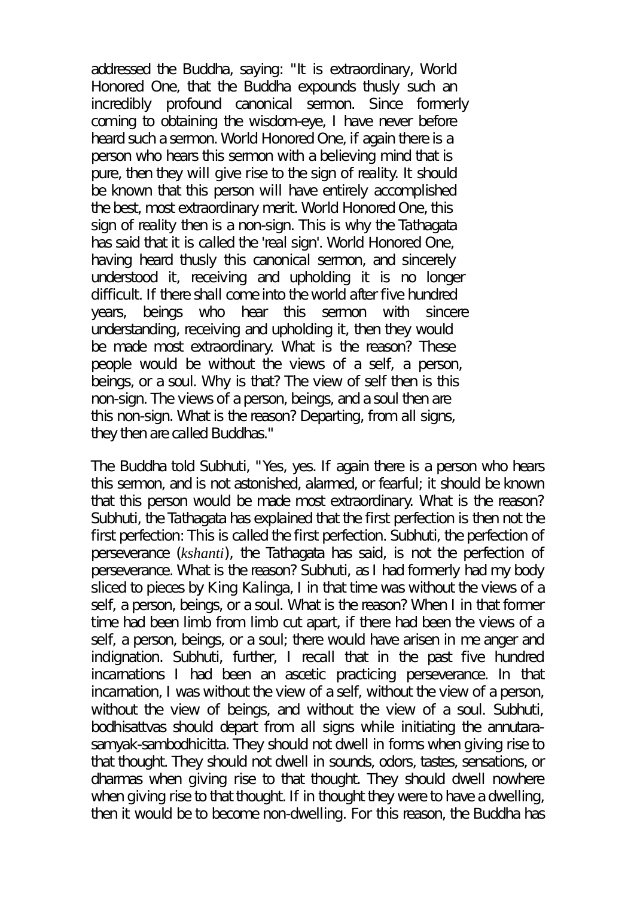addressed the Buddha, saying: "It is extraordinary, World Honored One, that the Buddha expounds thusly such an incredibly profound canonical sermon. Since formerly coming to obtaining the wisdom-eye, I have never before heard such a sermon. World Honored One, if again there is a person who hears this sermon with a believing mind that is pure, then they will give rise to the sign of reality. It should be known that this person will have entirely accomplished the best, most extraordinary merit. World Honored One, this sign of reality then is a non-sign. This is why the Tathagata has said that it is called the 'real sign'. World Honored One, having heard thusly this canonical sermon, and sincerely understood it, receiving and upholding it is no longer difficult. If there shall come into the world after five hundred years, beings who hear this sermon with sincere understanding, receiving and upholding it, then they would be made most extraordinary. What is the reason? These people would be without the views of a self, a person, beings, or a soul. Why is that? The view of self then is this non-sign. The views of a person, beings, and a soul then are this non-sign. What is the reason? Departing, from all signs, they then are called Buddhas."

The Buddha told Subhuti, "Yes, yes. If again there is a person who hears this sermon, and is not astonished, alarmed, or fearful; it should be known that this person would be made most extraordinary. What is the reason? Subhuti, the Tathagata has explained that the first perfection is then not the first perfection: This is called the first perfection. Subhuti, the perfection of perseverance (*kshanti*), the Tathagata has said, is not the perfection of perseverance. What is the reason? Subhuti, as I had formerly had my body sliced to pieces by King Kalinga, I in that time was without the views of a self, a person, beings, or a soul. What is the reason? When I in that former time had been limb from limb cut apart, if there had been the views of a self, a person, beings, or a soul; there would have arisen in me anger and indignation. Subhuti, further, I recall that in the past five hundred incarnations I had been an ascetic practicing perseverance. In that incarnation, I was without the view of a self, without the view of a person, without the view of beings, and without the view of a soul. Subhuti, bodhisattvas should depart from all signs while initiating the annutarasamyak-sambodhicitta. They should not dwell in forms when giving rise to that thought. They should not dwell in sounds, odors, tastes, sensations, or dharmas when giving rise to that thought. They should dwell nowhere when giving rise to that thought. If in thought they were to have a dwelling, then it would be to become non-dwelling. For this reason, the Buddha has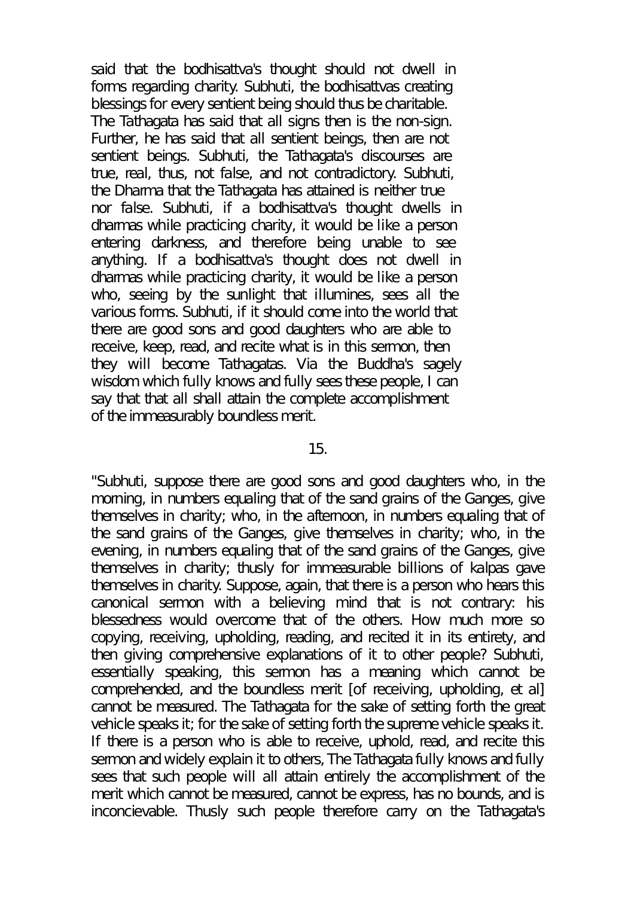said that the bodhisattva's thought should not dwell in forms regarding charity. Subhuti, the bodhisattvas creating blessings for every sentient being should thus be charitable. The Tathagata has said that all signs then is the non-sign. Further, he has said that all sentient beings, then are not sentient beings. Subhuti, the Tathagata's discourses are true, real, thus, not false, and not contradictory. Subhuti, the Dharma that the Tathagata has attained is neither true nor false. Subhuti, if a bodhisattva's thought dwells in dharmas while practicing charity, it would be like a person entering darkness, and therefore being unable to see anything. If a bodhisattva's thought does not dwell in dharmas while practicing charity, it would be like a person who, seeing by the sunlight that illumines, sees all the various forms. Subhuti, if it should come into the world that there are good sons and good daughters who are able to receive, keep, read, and recite what is in this sermon, then they will become Tathagatas. Via the Buddha's sagely wisdom which fully knows and fully sees these people, I can say that that all shall attain the complete accomplishment of the immeasurably boundless merit.

#### 15.

"Subhuti, suppose there are good sons and good daughters who, in the morning, in numbers equaling that of the sand grains of the Ganges, give themselves in charity; who, in the afternoon, in numbers equaling that of the sand grains of the Ganges, give themselves in charity; who, in the evening, in numbers equaling that of the sand grains of the Ganges, give themselves in charity; thusly for immeasurable billions of kalpas gave themselves in charity. Suppose, again, that there is a person who hears this canonical sermon with a believing mind that is not contrary: his blessedness would overcome that of the others. How much more so copying, receiving, upholding, reading, and recited it in its entirety, and then giving comprehensive explanations of it to other people? Subhuti, essentially speaking, this sermon has a meaning which cannot be comprehended, and the boundless merit [of receiving, upholding, et al] cannot be measured. The Tathagata for the sake of setting forth the great vehicle speaks it; for the sake of setting forth the supreme vehicle speaks it. If there is a person who is able to receive, uphold, read, and recite this sermon and widely explain it to others, The Tathagata fully knows and fully sees that such people will all attain entirely the accomplishment of the merit which cannot be measured, cannot be express, has no bounds, and is inconcievable. Thusly such people therefore carry on the Tathagata's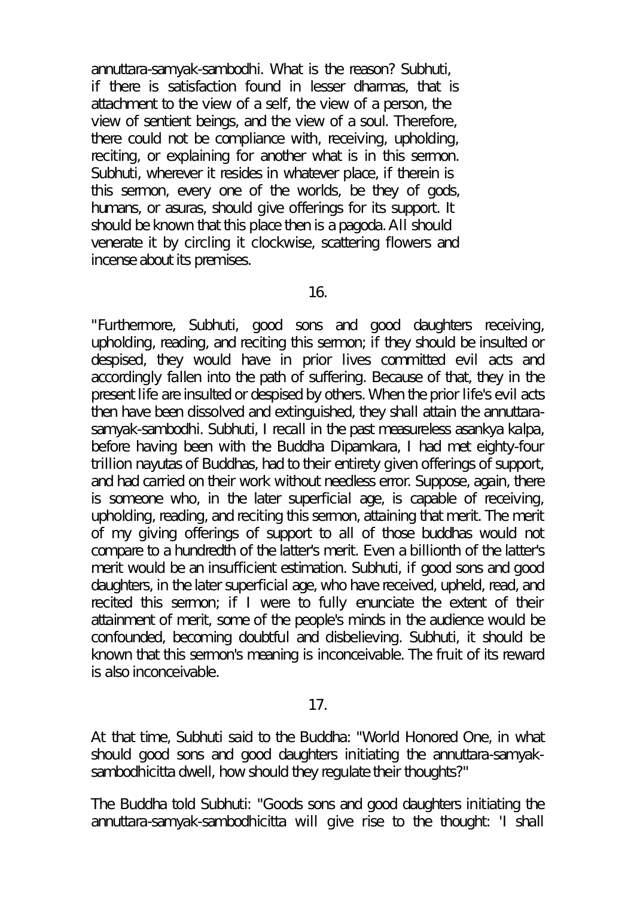annuttara-samyak-sambodhi. What is the reason? Subhuti, if there is satisfaction found in lesser dharmas, that is attachment to the view of a self, the view of a person, the view of sentient beings, and the view of a soul. Therefore, there could not be compliance with, receiving, upholding, reciting, or explaining for another what is in this sermon. Subhuti, wherever it resides in whatever place, if therein is this sermon, every one of the worlds, be they of gods, humans, or asuras, should give offerings for its support. It should be known that this place then is a pagoda. All should venerate it by circling it clockwise, scattering flowers and incense about its premises.

16.

"Furthermore, Subhuti, good sons and good daughters receiving, upholding, reading, and reciting this sermon; if they should be insulted or despised, they would have in prior lives committed evil acts and accordingly fallen into the path of suffering. Because of that, they in the present life are insulted or despised by others. When the prior life's evil acts then have been dissolved and extinguished, they shall attain the annuttarasamyak-sambodhi. Subhuti, I recall in the past measureless asankya kalpa, before having been with the Buddha Dipamkara, I had met eighty-four trillion nayutas of Buddhas, had to their entirety given offerings of support, and had carried on their work without needless error. Suppose, again, there is someone who, in the later superficial age, is capable of receiving, upholding, reading, and reciting this sermon, attaining that merit. The merit of my giving offerings of support to all of those buddhas would not compare to a hundredth of the latter's merit. Even a billionth of the latter's merit would be an insufficient estimation. Subhuti, if good sons and good daughters, in the later superficial age, who have received, upheld, read, and recited this sermon; if I were to fully enunciate the extent of their attainment of merit, some of the people's minds in the audience would be confounded, becoming doubtful and disbelieving. Subhuti, it should be known that this sermon's meaning is inconceivable. The fruit of its reward is also inconceivable.

17.

At that time, Subhuti said to the Buddha: "World Honored One, in what should good sons and good daughters initiating the annuttara-samyaksambodhicitta dwell, how should they regulate their thoughts?"

The Buddha told Subhuti: "Goods sons and good daughters initiating the annuttara-samyak-sambodhicitta will give rise to the thought: 'I shall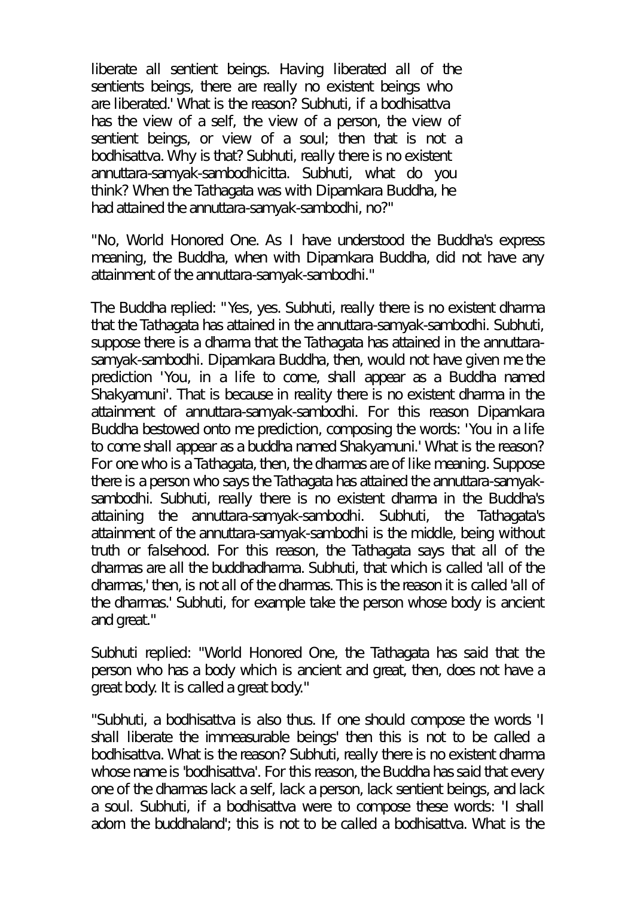liberate all sentient beings. Having liberated all of the sentients beings, there are really no existent beings who are liberated.' What is the reason? Subhuti, if a bodhisattva has the view of a self, the view of a person, the view of sentient beings, or view of a soul; then that is not a bodhisattva. Why is that? Subhuti, really there is no existent annuttara-samyak-sambodhicitta. Subhuti, what do you think? When the Tathagata was with Dipamkara Buddha, he had attained the annuttara-samyak-sambodhi, no?"

"No, World Honored One. As I have understood the Buddha's express meaning, the Buddha, when with Dipamkara Buddha, did not have any attainment of the annuttara-samyak-sambodhi."

The Buddha replied: "Yes, yes. Subhuti, really there is no existent dharma that the Tathagata has attained in the annuttara-samyak-sambodhi. Subhuti, suppose there is a dharma that the Tathagata has attained in the annuttarasamyak-sambodhi. Dipamkara Buddha, then, would not have given me the prediction 'You, in a life to come, shall appear as a Buddha named Shakyamuni'. That is because in reality there is no existent dharma in the attainment of annuttara-samyak-sambodhi. For this reason Dipamkara Buddha bestowed onto me prediction, composing the words: 'You in a life to come shall appear as a buddha named Shakyamuni.' What is the reason? For one who is a Tathagata, then, the dharmas are of like meaning. Suppose there is a person who says the Tathagata has attained the annuttara-samyaksambodhi. Subhuti, really there is no existent dharma in the Buddha's attaining the annuttara-samyak-sambodhi. Subhuti, the Tathagata's attainment of the annuttara-samyak-sambodhi is the middle, being without truth or falsehood. For this reason, the Tathagata says that all of the dharmas are all the buddhadharma. Subhuti, that which is called 'all of the dharmas,' then, is not all of the dharmas. This is the reason it is called 'all of the dharmas.' Subhuti, for example take the person whose body is ancient and great."

Subhuti replied: "World Honored One, the Tathagata has said that the person who has a body which is ancient and great, then, does not have a great body. It is called a great body."

"Subhuti, a bodhisattva is also thus. If one should compose the words 'I shall liberate the immeasurable beings' then this is not to be called a bodhisattva. What is the reason? Subhuti, really there is no existent dharma whose name is 'bodhisattva'. For this reason, the Buddha has said that every one of the dharmas lack a self, lack a person, lack sentient beings, and lack a soul. Subhuti, if a bodhisattva were to compose these words: 'I shall adorn the buddhaland'; this is not to be called a bodhisattva. What is the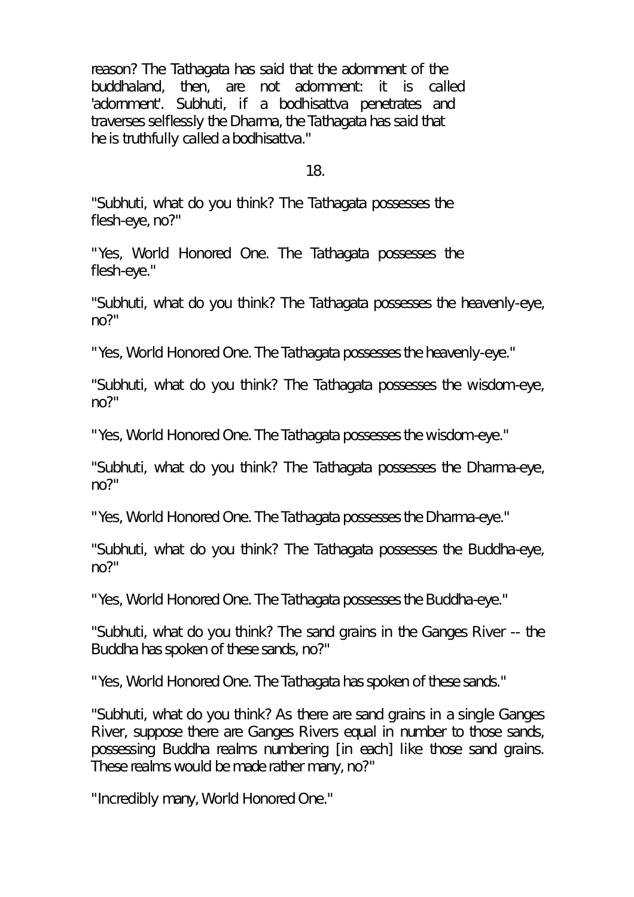reason? The Tathagata has said that the adornment of the buddhaland, then, are not adornment: it is called 'adornment'. Subhuti, if a bodhisattva penetrates and traverses selflessly the Dharma, the Tathagata has said that he is truthfully called a bodhisattva."

18.

"Subhuti, what do you think? The Tathagata possesses the flesh-eye, no?"

"Yes, World Honored One. The Tathagata possesses the flesh-eye."

"Subhuti, what do you think? The Tathagata possesses the heavenly-eye, no?"

"Yes, World Honored One. The Tathagata possesses the heavenly-eye."

"Subhuti, what do you think? The Tathagata possesses the wisdom-eye, no?"

"Yes, World Honored One. The Tathagata possesses the wisdom-eye."

"Subhuti, what do you think? The Tathagata possesses the Dharma-eye, no?"

"Yes, World Honored One. The Tathagata possesses the Dharma-eye."

"Subhuti, what do you think? The Tathagata possesses the Buddha-eye, no?"

"Yes, World Honored One. The Tathagata possesses the Buddha-eye."

"Subhuti, what do you think? The sand grains in the Ganges River -- the Buddha has spoken of these sands, no?"

"Yes, World Honored One. The Tathagata has spoken of these sands."

"Subhuti, what do you think? As there are sand grains in a single Ganges River, suppose there are Ganges Rivers equal in number to those sands, possessing Buddha realms numbering [in each] like those sand grains. These realms would be made rather many, no?"

"Incredibly many, World Honored One."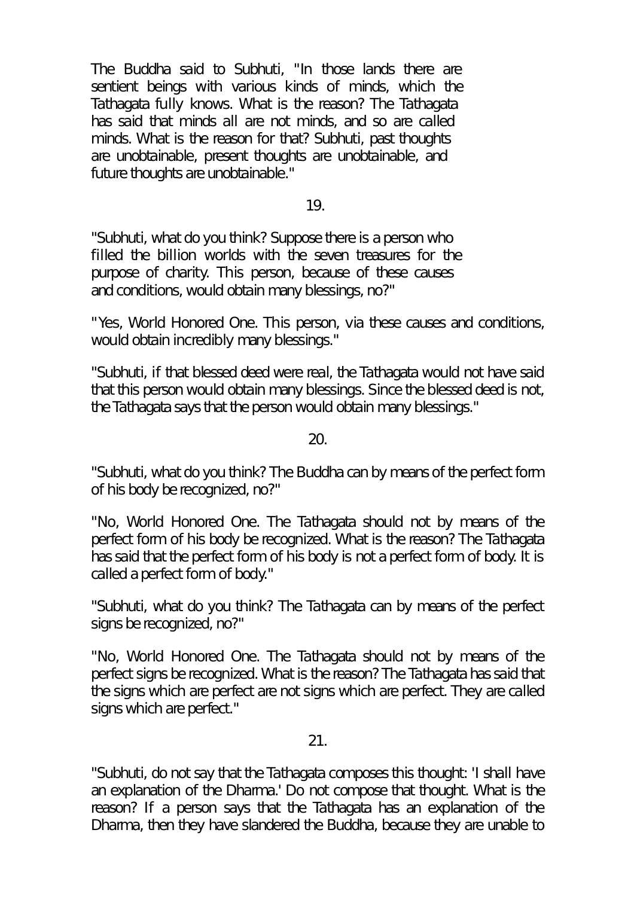The Buddha said to Subhuti, "In those lands there are sentient beings with various kinds of minds, which the Tathagata fully knows. What is the reason? The Tathagata has said that minds all are not minds, and so are called minds. What is the reason for that? Subhuti, past thoughts are unobtainable, present thoughts are unobtainable, and future thoughts are unobtainable."

19.

"Subhuti, what do you think? Suppose there is a person who filled the billion worlds with the seven treasures for the purpose of charity. This person, because of these causes and conditions, would obtain many blessings, no?"

"Yes, World Honored One. This person, via these causes and conditions, would obtain incredibly many blessings."

"Subhuti, if that blessed deed were real, the Tathagata would not have said that this person would obtain many blessings. Since the blessed deed is not, the Tathagata says that the person would obtain many blessings."

20.

"Subhuti, what do you think? The Buddha can by means of the perfect form of his body be recognized, no?"

"No, World Honored One. The Tathagata should not by means of the perfect form of his body be recognized. What is the reason? The Tathagata has said that the perfect form of his body is not a perfect form of body. It is called a perfect form of body."

"Subhuti, what do you think? The Tathagata can by means of the perfect signs be recognized, no?"

"No, World Honored One. The Tathagata should not by means of the perfect signs be recognized. What is the reason? The Tathagata has said that the signs which are perfect are not signs which are perfect. They are called signs which are perfect."

21.

"Subhuti, do not say that the Tathagata composes this thought: 'I shall have an explanation of the Dharma.' Do not compose that thought. What is the reason? If a person says that the Tathagata has an explanation of the Dharma, then they have slandered the Buddha, because they are unable to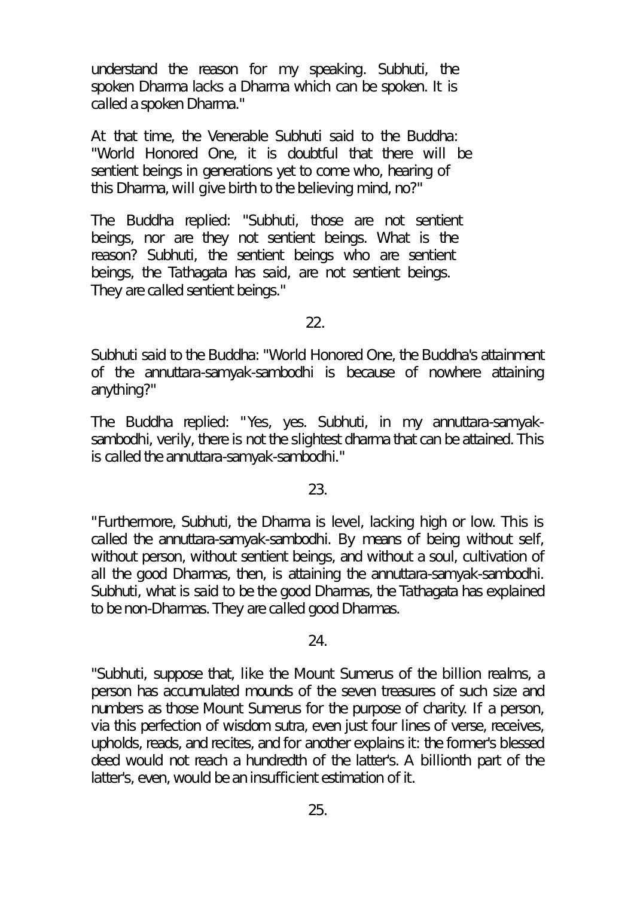understand the reason for my speaking. Subhuti, the spoken Dharma lacks a Dharma which can be spoken. It is called a spoken Dharma."

At that time, the Venerable Subhuti said to the Buddha: "World Honored One, it is doubtful that there will be sentient beings in generations yet to come who, hearing of this Dharma, will give birth to the believing mind, no?"

The Buddha replied: "Subhuti, those are not sentient beings, nor are they not sentient beings. What is the reason? Subhuti, the sentient beings who are sentient beings, the Tathagata has said, are not sentient beings. They are called sentient beings."

22.

Subhuti said to the Buddha: "World Honored One, the Buddha's attainment of the annuttara-samyak-sambodhi is because of nowhere attaining anything?"

The Buddha replied: "Yes, yes. Subhuti, in my annuttara-samyaksambodhi, verily, there is not the slightest dharma that can be attained. This is called the annuttara-samyak-sambodhi."

23.

"Furthermore, Subhuti, the Dharma is level, lacking high or low. This is called the annuttara-samyak-sambodhi. By means of being without self, without person, without sentient beings, and without a soul, cultivation of all the good Dharmas, then, is attaining the annuttara-samyak-sambodhi. Subhuti, what is said to be the good Dharmas, the Tathagata has explained to be non-Dharmas. They are called good Dharmas.

24.

"Subhuti, suppose that, like the Mount Sumerus of the billion realms, a person has accumulated mounds of the seven treasures of such size and numbers as those Mount Sumerus for the purpose of charity. If a person, via this perfection of wisdom sutra, even just four lines of verse, receives, upholds, reads, and recites, and for another explains it: the former's blessed deed would not reach a hundredth of the latter's. A billionth part of the latter's, even, would be an insufficient estimation of it.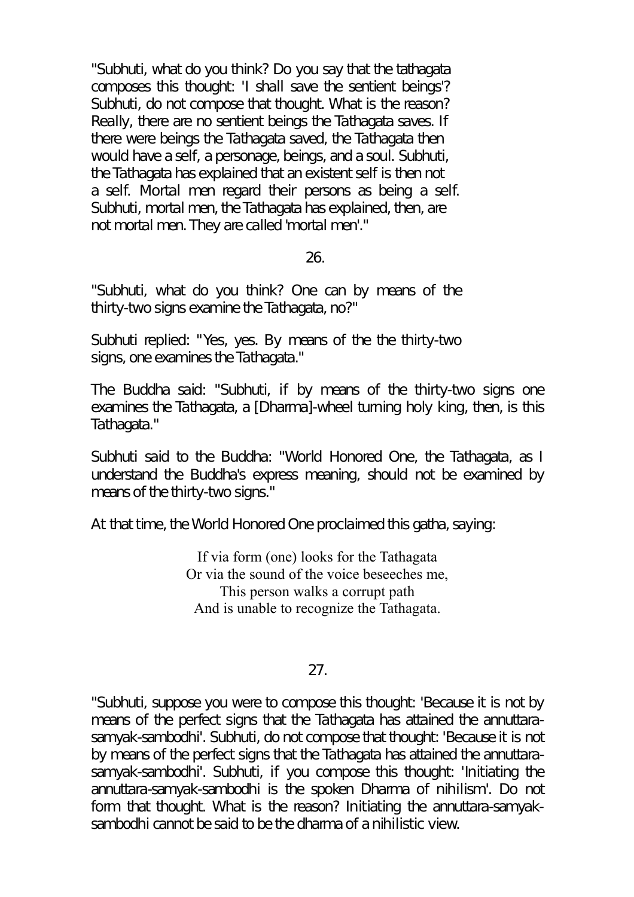"Subhuti, what do you think? Do you say that the tathagata composes this thought: 'I shall save the sentient beings'? Subhuti, do not compose that thought. What is the reason? Really, there are no sentient beings the Tathagata saves. If there were beings the Tathagata saved, the Tathagata then would have a self, a personage, beings, and a soul. Subhuti, the Tathagata has explained that an existent self is then not a self. Mortal men regard their persons as being a self. Subhuti, mortal men, the Tathagata has explained, then, are not mortal men. They are called 'mortal men'."

26.

"Subhuti, what do you think? One can by means of the thirty-two signs examine the Tathagata, no?"

Subhuti replied: "Yes, yes. By means of the the thirty-two signs, one examines the Tathagata."

The Buddha said: "Subhuti, if by means of the thirty-two signs one examines the Tathagata, a [Dharma]-wheel turning holy king, then, is this Tathagata."

Subhuti said to the Buddha: "World Honored One, the Tathagata, as I understand the Buddha's express meaning, should not be examined by means of the thirty-two signs."

At that time, the World Honored One proclaimed this gatha, saying:

If via form (one) looks for the Tathagata Or via the sound of the voice beseeches me, This person walks a corrupt path And is unable to recognize the Tathagata.

## 27.

"Subhuti, suppose you were to compose this thought: 'Because it is not by means of the perfect signs that the Tathagata has attained the annuttarasamyak-sambodhi'. Subhuti, do not compose that thought: 'Because it is not by means of the perfect signs that the Tathagata has attained the annuttarasamyak-sambodhi'. Subhuti, if you compose this thought: 'Initiating the annuttara-samyak-sambodhi is the spoken Dharma of nihilism'. Do not form that thought. What is the reason? Initiating the annuttara-samyaksambodhi cannot be said to be the dharma of a nihilistic view.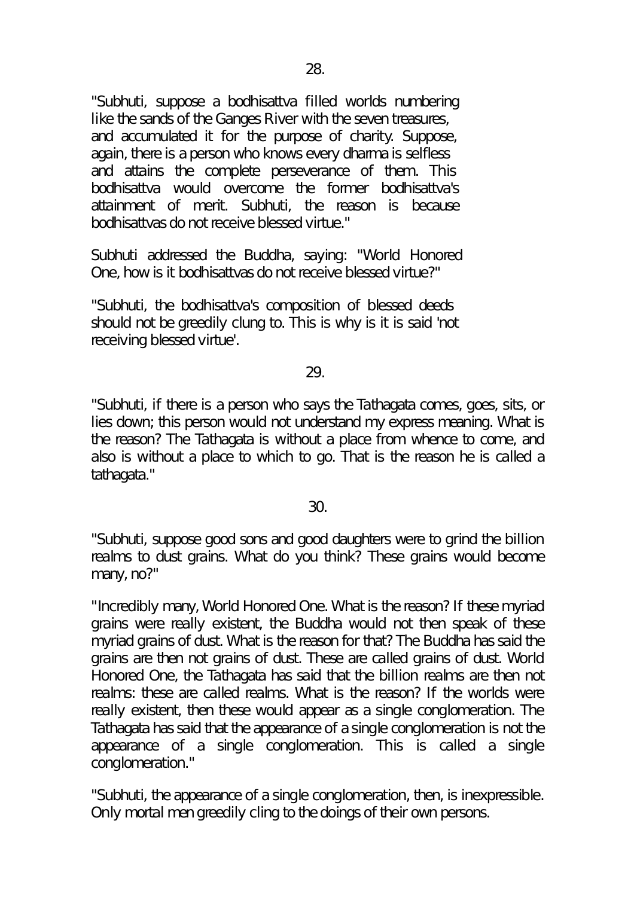"Subhuti, suppose a bodhisattva filled worlds numbering like the sands of the Ganges River with the seven treasures, and accumulated it for the purpose of charity. Suppose, again, there is a person who knows every dharma is selfless and attains the complete perseverance of them. This bodhisattva would overcome the former bodhisattva's attainment of merit. Subhuti, the reason is because bodhisattvas do not receive blessed virtue."

Subhuti addressed the Buddha, saying: "World Honored One, how is it bodhisattvas do not receive blessed virtue?"

"Subhuti, the bodhisattva's composition of blessed deeds should not be greedily clung to. This is why is it is said 'not receiving blessed virtue'.

# 29.

"Subhuti, if there is a person who says the Tathagata comes, goes, sits, or lies down; this person would not understand my express meaning. What is the reason? The Tathagata is without a place from whence to come, and also is without a place to which to go. That is the reason he is called a tathagata."

## 30.

"Subhuti, suppose good sons and good daughters were to grind the billion realms to dust grains. What do you think? These grains would become many, no?"

"Incredibly many, World Honored One. What is the reason? If these myriad grains were really existent, the Buddha would not then speak of these myriad grains of dust. What is the reason for that? The Buddha has said the grains are then not grains of dust. These are called grains of dust. World Honored One, the Tathagata has said that the billion realms are then not realms: these are called realms. What is the reason? If the worlds were really existent, then these would appear as a single conglomeration. The Tathagata has said that the appearance of a single conglomeration is not the appearance of a single conglomeration. This is called a single conglomeration."

"Subhuti, the appearance of a single conglomeration, then, is inexpressible. Only mortal men greedily cling to the doings of their own persons.